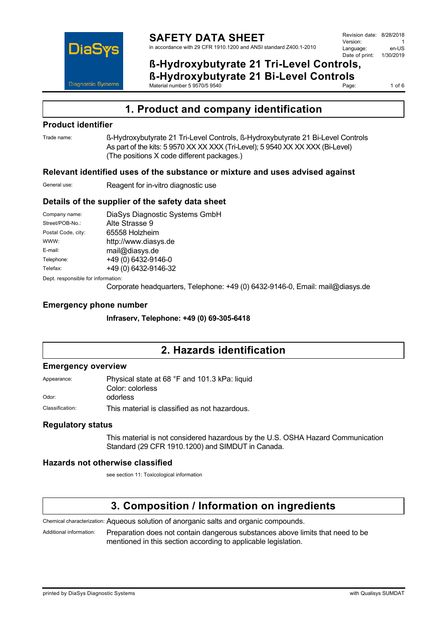

1 of  $6$ 

# **1. Product and company identification**

### **Product identifier**

Trade name: ß-Hydroxybutyrate 21 Tri-Level Controls, ß-Hydroxybutyrate 21 Bi-Level Controls As part of the kits: 5 9570 XX XX XXX (Tri-Level); 5 9540 XX XX XXX (Bi-Level) (The positions X code different packages.)

### **Relevant identified uses of the substance or mixture and uses advised against**

Material number 5 9570/5 9540

General use: Reagent for in-vitro diagnostic use

### **Details of the supplier of the safety data sheet**

| Company name:                      | DiaSys Diagnostic Systems GmbH         |
|------------------------------------|----------------------------------------|
| Street/POB-No.:                    | Alte Strasse 9                         |
| Postal Code, city:                 | 65558 Holzheim                         |
| WWW:                               | http://www.diasys.de                   |
| E-mail:                            | mail@diasys.de                         |
| Telephone:                         | +49 (0) 6432-9146-0                    |
| Telefax:                           | +49 (0) 6432-9146-32                   |
| Dept. responsible for information: |                                        |
|                                    | Corporate boodsusrtere, Telephone: 140 |

Corporate headquarters, Telephone: +49 (0) 6432-9146-0, Email: mail@diasys.de

### **Emergency phone number**

**Infraserv, Telephone: +49 (0) 69-305-6418**

## **2. Hazards identification**

### **Emergency overview**

| Appearance:     | Physical state at 68 °F and 101.3 kPa: liquid |  |
|-----------------|-----------------------------------------------|--|
|                 | Color: colorless                              |  |
| Odor:           | odorless                                      |  |
| Classification: | This material is classified as not hazardous. |  |

### **Regulatory status**

This material is not considered hazardous by the U.S. OSHA Hazard Communication Standard (29 CFR 1910.1200) and SIMDUT in Canada.

### **Hazards not otherwise classified**

see section 11: Toxicological information

## **3. Composition / Information on ingredients**

Chemical characterization: Aqueous solution of anorganic salts and organic compounds.

Additional information: Preparation does not contain dangerous substances above limits that need to be mentioned in this section according to applicable legislation.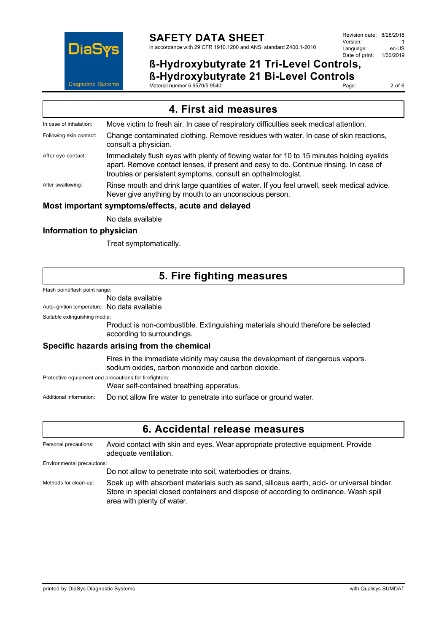

Page: 2 of 6

| 4. First aid measures                              |                                                                                                                                                                                                                                                  |  |
|----------------------------------------------------|--------------------------------------------------------------------------------------------------------------------------------------------------------------------------------------------------------------------------------------------------|--|
| In case of inhalation:                             | Move victim to fresh air. In case of respiratory difficulties seek medical attention.                                                                                                                                                            |  |
| Following skin contact:                            | Change contaminated clothing. Remove residues with water. In case of skin reactions,<br>consult a physician.                                                                                                                                     |  |
| After eye contact:                                 | Immediately flush eyes with plenty of flowing water for 10 to 15 minutes holding eyelids<br>apart. Remove contact lenses, if present and easy to do. Continue rinsing. In case of<br>troubles or persistent symptoms, consult an opthalmologist. |  |
| After swallowing:                                  | Rinse mouth and drink large quantities of water. If you feel unwell, seek medical advice.<br>Never give anything by mouth to an unconscious person.                                                                                              |  |
| Most important symptoms/effects, acute and delayed |                                                                                                                                                                                                                                                  |  |

Material number 5 9570/5 9540

No data available

### **Information to physician**

Treat symptomatically.

## **5. Fire fighting measures**

Flash point/flash point range:

#### No data available

Auto-ignition temperature: No data available

Suitable extinguishing media:

Product is non-combustible. Extinguishing materials should therefore be selected according to surroundings.

### **Specific hazards arising from the chemical**

Fires in the immediate vicinity may cause the development of dangerous vapors. sodium oxides, carbon monoxide and carbon dioxide.

Protective equipment and precautions for firefighters:

Wear self-contained breathing apparatus.

Additional information: Do not allow fire water to penetrate into surface or ground water.

### **6. Accidental release measures**

Personal precautions: Avoid contact with skin and eyes. Wear appropriate protective equipment. Provide adequate ventilation. Environmental precautions: Do not allow to penetrate into soil, waterbodies or drains. Methods for clean-up: Soak up with absorbent materials such as sand, siliceus earth, acid- or universal binder. Store in special closed containers and dispose of according to ordinance. Wash spill

area with plenty of water.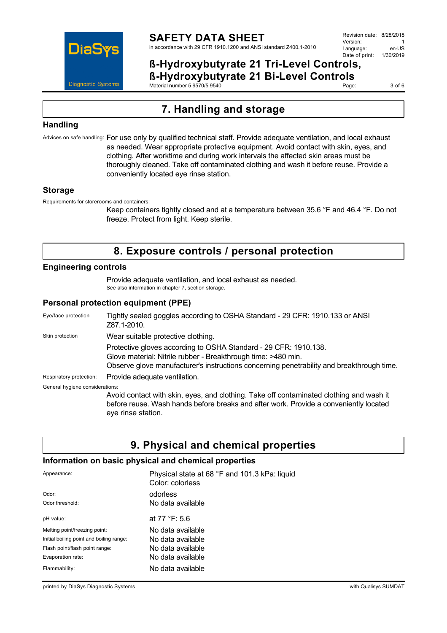

Page: 3 of 6

# **7. Handling and storage**

Material number 5 9570/5 9540

### **Handling**

Advices on safe handling: For use only by qualified technical staff. Provide adequate ventilation, and local exhaust as needed. Wear appropriate protective equipment. Avoid contact with skin, eyes, and clothing. After worktime and during work intervals the affected skin areas must be thoroughly cleaned. Take off contaminated clothing and wash it before reuse. Provide a conveniently located eye rinse station.

### **Storage**

Requirements for storerooms and containers:

Keep containers tightly closed and at a temperature between 35.6 °F and 46.4 °F. Do not freeze. Protect from light. Keep sterile.

## **8. Exposure controls / personal protection**

### **Engineering controls**

Provide adequate ventilation, and local exhaust as needed. See also information in chapter 7, section storage.

### **Personal protection equipment (PPE)**

Eye/face protection Tightly sealed goggles according to OSHA Standard - 29 CFR: 1910.133 or ANSI Z87.1-2010. Skin protection **Wear suitable protective clothing.** Protective gloves according to OSHA Standard - 29 CFR: 1910.138. Glove material: Nitrile rubber - Breakthrough time: >480 min. Observe glove manufacturer's instructions concerning penetrability and breakthrough time. Respiratory protection: Provide adequate ventilation. General hygiene considerations: Avoid contact with skin, eyes, and clothing. Take off contaminated clothing and wash it

before reuse. Wash hands before breaks and after work. Provide a conveniently located eye rinse station.

# **9. Physical and chemical properties**

### **Information on basic physical and chemical properties**

| Appearance:                              | Physical state at 68 °F and 101.3 kPa: liquid<br>Color: colorless |
|------------------------------------------|-------------------------------------------------------------------|
| Odor:                                    | odorless                                                          |
| Odor threshold:                          | No data available                                                 |
| pH value:                                | at $77 °F: 5.6$                                                   |
| Melting point/freezing point:            | No data available                                                 |
| Initial boiling point and boiling range: | No data available                                                 |
| Flash point/flash point range:           | No data available                                                 |
| Evaporation rate:                        | No data available                                                 |
| Flammability:                            | No data available                                                 |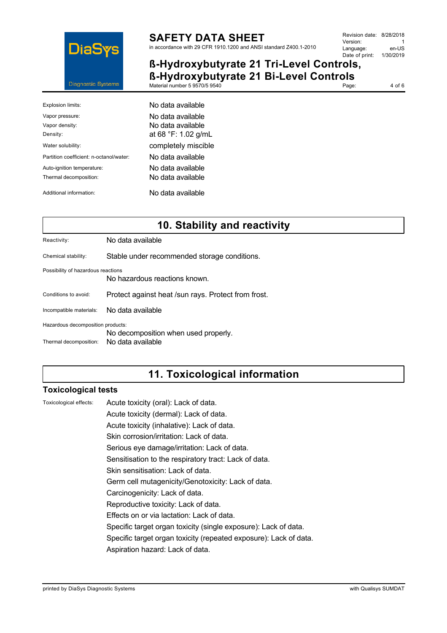

# **SAFETY DATA SHEET**

in accordance with 29 CFR 1910.1200 and ANSI standard Z400.1-2010

### **ß-Hydroxybutyrate 21 Tri-Level Controls, ß-Hydroxybutyrate 21 Bi-Level Controls**

Material number 5 9570/5 9540 Page: 4 of 6

| Explosion limits:                       | No data available   |
|-----------------------------------------|---------------------|
| Vapor pressure:                         | No data available   |
| Vapor density:                          | No data available   |
| Density:                                | at 68 °F: 1.02 g/mL |
| Water solubility:                       | completely miscible |
| Partition coefficient: n-octanol/water: | No data available   |
| Auto-ignition temperature:              | No data available   |
| Thermal decomposition:                  | No data available   |
| Additional information:                 | No data available   |

# **10. Stability and reactivity**

Reactivity: No data available

Chemical stability: Stable under recommended storage conditions.

Possibility of hazardous reactions

No hazardous reactions known.

Conditions to avoid: Protect against heat /sun rays. Protect from frost.

Incompatible materials: No data available

Hazardous decomposition products:

No decomposition when used properly.

Thermal decomposition: No data available

## **11. Toxicological information**

### **Toxicological tests**

Toxicological effects: Acute toxicity (oral): Lack of data.

Acute toxicity (dermal): Lack of data.

Acute toxicity (inhalative): Lack of data.

Skin corrosion/irritation: Lack of data.

Serious eye damage/irritation: Lack of data.

Sensitisation to the respiratory tract: Lack of data.

Skin sensitisation: Lack of data.

Germ cell mutagenicity/Genotoxicity: Lack of data.

Carcinogenicity: Lack of data.

Reproductive toxicity: Lack of data.

Effects on or via lactation: Lack of data.

Specific target organ toxicity (single exposure): Lack of data.

Specific target organ toxicity (repeated exposure): Lack of data.

Aspiration hazard: Lack of data.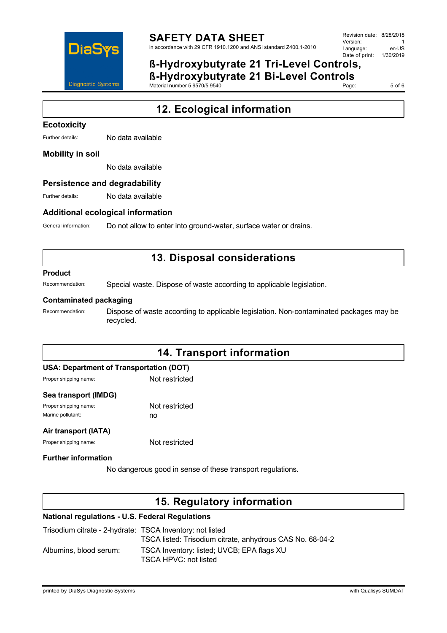

Page: 5 of 6

# **12. Ecological information**

### **Ecotoxicity**

Further details: No data available

#### **Mobility in soil**

No data available

#### **Persistence and degradability**

Further details: No data available

### **Additional ecological information**

General information: Do not allow to enter into ground-water, surface water or drains.

Material number 5 9570/5 9540

## **13. Disposal considerations**

#### **Product**

Recommendation: Special waste. Dispose of waste according to applicable legislation.

#### **Contaminated packaging**

Recommendation: Dispose of waste according to applicable legislation. Non-contaminated packages may be recycled.

## **14. Transport information**

| USA: Department of Transportation (DOT) |                |
|-----------------------------------------|----------------|
| Proper shipping name:                   | Not restricted |

#### **Sea transport (IMDG)**

| Proper shipping name: | Not restricted |
|-----------------------|----------------|
| Marine pollutant:     | no             |

#### **Air transport (IATA)**

Proper shipping name: Not restricted

### **Further information**

No dangerous good in sense of these transport regulations.

## **15. Regulatory information**

#### **National regulations - U.S. Federal Regulations**

| Trisodium citrate - 2-hydrate: TSCA Inventory: not listed | TSCA listed: Trisodium citrate, anhydrous CAS No. 68-04-2           |
|-----------------------------------------------------------|---------------------------------------------------------------------|
| Albumins, blood serum:                                    | TSCA Inventory: listed; UVCB; EPA flags XU<br>TSCA HPVC: not listed |